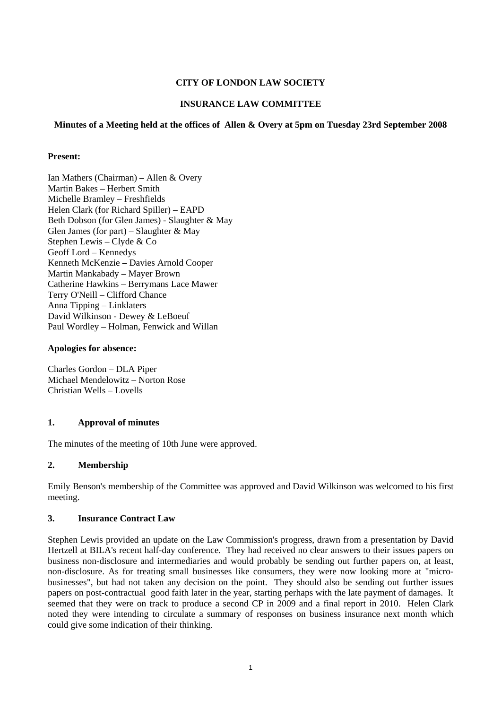# **CITY OF LONDON LAW SOCIETY**

# **INSURANCE LAW COMMITTEE**

### **Minutes of a Meeting held at the offices of Allen & Overy at 5pm on Tuesday 23rd September 2008**

### **Present:**

Ian Mathers (Chairman) – Allen & Overy Martin Bakes – Herbert Smith Michelle Bramley – Freshfields Helen Clark (for Richard Spiller) – EAPD Beth Dobson (for Glen James) - Slaughter & May Glen James (for part) – Slaughter  $&$  May Stephen Lewis – Clyde & Co Geoff Lord – Kennedys Kenneth McKenzie – Davies Arnold Cooper Martin Mankabady – Mayer Brown Catherine Hawkins – Berrymans Lace Mawer Terry O'Neill – Clifford Chance Anna Tipping – Linklaters David Wilkinson - Dewey & LeBoeuf Paul Wordley – Holman, Fenwick and Willan

### **Apologies for absence:**

Charles Gordon – DLA Piper Michael Mendelowitz – Norton Rose Christian Wells – Lovells

### **1. Approval of minutes**

The minutes of the meeting of 10th June were approved.

### **2. Membership**

Emily Benson's membership of the Committee was approved and David Wilkinson was welcomed to his first meeting.

### **3. Insurance Contract Law**

Stephen Lewis provided an update on the Law Commission's progress, drawn from a presentation by David Hertzell at BILA's recent half-day conference. They had received no clear answers to their issues papers on business non-disclosure and intermediaries and would probably be sending out further papers on, at least, non-disclosure. As for treating small businesses like consumers, they were now looking more at "microbusinesses", but had not taken any decision on the point. They should also be sending out further issues papers on post-contractual good faith later in the year, starting perhaps with the late payment of damages. It seemed that they were on track to produce a second CP in 2009 and a final report in 2010. Helen Clark noted they were intending to circulate a summary of responses on business insurance next month which could give some indication of their thinking.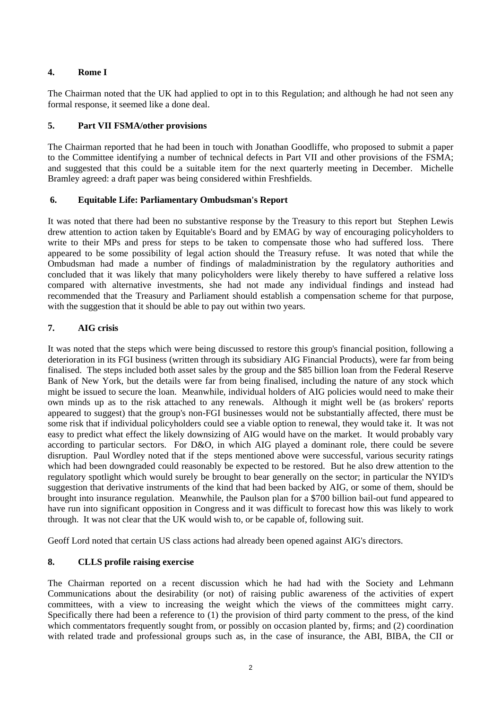# **4. Rome I**

The Chairman noted that the UK had applied to opt in to this Regulation; and although he had not seen any formal response, it seemed like a done deal.

# **5. Part VII FSMA/other provisions**

The Chairman reported that he had been in touch with Jonathan Goodliffe, who proposed to submit a paper to the Committee identifying a number of technical defects in Part VII and other provisions of the FSMA; and suggested that this could be a suitable item for the next quarterly meeting in December. Michelle Bramley agreed: a draft paper was being considered within Freshfields.

# **6. Equitable Life: Parliamentary Ombudsman's Report**

It was noted that there had been no substantive response by the Treasury to this report but Stephen Lewis drew attention to action taken by Equitable's Board and by EMAG by way of encouraging policyholders to write to their MPs and press for steps to be taken to compensate those who had suffered loss. There appeared to be some possibility of legal action should the Treasury refuse. It was noted that while the Ombudsman had made a number of findings of maladministration by the regulatory authorities and concluded that it was likely that many policyholders were likely thereby to have suffered a relative loss compared with alternative investments, she had not made any individual findings and instead had recommended that the Treasury and Parliament should establish a compensation scheme for that purpose, with the suggestion that it should be able to pay out within two years.

# **7. AIG crisis**

It was noted that the steps which were being discussed to restore this group's financial position, following a deterioration in its FGI business (written through its subsidiary AIG Financial Products), were far from being finalised. The steps included both asset sales by the group and the \$85 billion loan from the Federal Reserve Bank of New York, but the details were far from being finalised, including the nature of any stock which might be issued to secure the loan. Meanwhile, individual holders of AIG policies would need to make their own minds up as to the risk attached to any renewals. Although it might well be (as brokers' reports appeared to suggest) that the group's non-FGI businesses would not be substantially affected, there must be some risk that if individual policyholders could see a viable option to renewal, they would take it. It was not easy to predict what effect the likely downsizing of AIG would have on the market. It would probably vary according to particular sectors. For D&O, in which AIG played a dominant role, there could be severe disruption. Paul Wordley noted that if the steps mentioned above were successful, various security ratings which had been downgraded could reasonably be expected to be restored. But he also drew attention to the regulatory spotlight which would surely be brought to bear generally on the sector; in particular the NYID's suggestion that derivative instruments of the kind that had been backed by AIG, or some of them, should be brought into insurance regulation. Meanwhile, the Paulson plan for a \$700 billion bail-out fund appeared to have run into significant opposition in Congress and it was difficult to forecast how this was likely to work through. It was not clear that the UK would wish to, or be capable of, following suit.

Geoff Lord noted that certain US class actions had already been opened against AIG's directors.

# **8. CLLS profile raising exercise**

The Chairman reported on a recent discussion which he had had with the Society and Lehmann Communications about the desirability (or not) of raising public awareness of the activities of expert committees, with a view to increasing the weight which the views of the committees might carry. Specifically there had been a reference to (1) the provision of third party comment to the press, of the kind which commentators frequently sought from, or possibly on occasion planted by, firms; and (2) coordination with related trade and professional groups such as, in the case of insurance, the ABI, BIBA, the CII or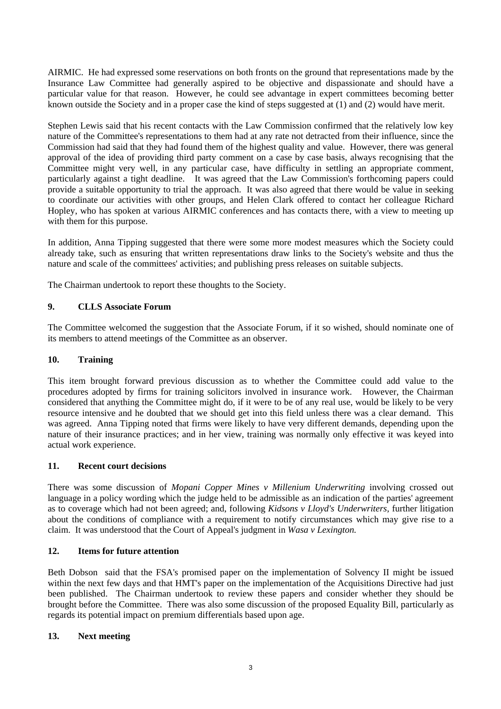AIRMIC. He had expressed some reservations on both fronts on the ground that representations made by the Insurance Law Committee had generally aspired to be objective and dispassionate and should have a particular value for that reason. However, he could see advantage in expert committees becoming better known outside the Society and in a proper case the kind of steps suggested at (1) and (2) would have merit.

Stephen Lewis said that his recent contacts with the Law Commission confirmed that the relatively low key nature of the Committee's representations to them had at any rate not detracted from their influence, since the Commission had said that they had found them of the highest quality and value. However, there was general approval of the idea of providing third party comment on a case by case basis, always recognising that the Committee might very well, in any particular case, have difficulty in settling an appropriate comment, particularly against a tight deadline. It was agreed that the Law Commission's forthcoming papers could provide a suitable opportunity to trial the approach. It was also agreed that there would be value in seeking to coordinate our activities with other groups, and Helen Clark offered to contact her colleague Richard Hopley, who has spoken at various AIRMIC conferences and has contacts there, with a view to meeting up with them for this purpose.

In addition, Anna Tipping suggested that there were some more modest measures which the Society could already take, such as ensuring that written representations draw links to the Society's website and thus the nature and scale of the committees' activities; and publishing press releases on suitable subjects.

The Chairman undertook to report these thoughts to the Society.

# **9. CLLS Associate Forum**

The Committee welcomed the suggestion that the Associate Forum, if it so wished, should nominate one of its members to attend meetings of the Committee as an observer.

### **10. Training**

This item brought forward previous discussion as to whether the Committee could add value to the procedures adopted by firms for training solicitors involved in insurance work. However, the Chairman considered that anything the Committee might do, if it were to be of any real use, would be likely to be very resource intensive and he doubted that we should get into this field unless there was a clear demand. This was agreed. Anna Tipping noted that firms were likely to have very different demands, depending upon the nature of their insurance practices; and in her view, training was normally only effective it was keyed into actual work experience.

### **11. Recent court decisions**

There was some discussion of *Mopani Copper Mines v Millenium Underwriting* involving crossed out language in a policy wording which the judge held to be admissible as an indication of the parties' agreement as to coverage which had not been agreed; and, following *Kidsons v Lloyd's Underwriters,* further litigation about the conditions of compliance with a requirement to notify circumstances which may give rise to a claim. It was understood that the Court of Appeal's judgment in *Wasa v Lexington.* 

### **12. Items for future attention**

Beth Dobson said that the FSA's promised paper on the implementation of Solvency II might be issued within the next few days and that HMT's paper on the implementation of the Acquisitions Directive had just been published. The Chairman undertook to review these papers and consider whether they should be brought before the Committee. There was also some discussion of the proposed Equality Bill, particularly as regards its potential impact on premium differentials based upon age.

### **13. Next meeting**